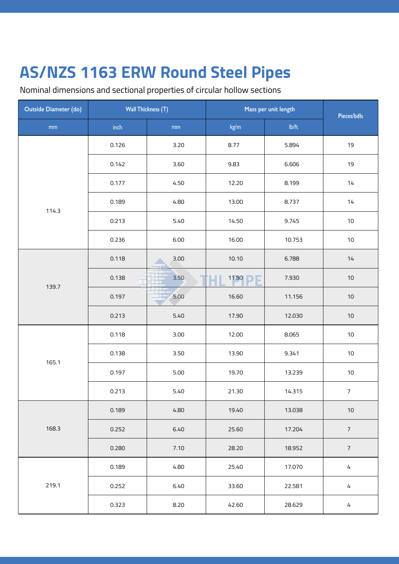Nominal dimensions and sectional properties of circular hollow sections

| <b>Outside Diameter (do)</b> | <b>Wall Thickness (T)</b> |      | Mass per unit length | Pieces/bdls |                |
|------------------------------|---------------------------|------|----------------------|-------------|----------------|
| $\mathsf{mm}$                | $\mathsf{inch}$           | mm   | kg/m                 | Ib/ft       |                |
|                              | 0.126                     | 3.20 | 8.77                 | 5.894       | 19             |
|                              | 0.142                     | 3.60 | 9.83                 | 6.606       | 19             |
|                              | 0.177                     | 4.50 | 12.20                | 8.199       | 14             |
| 114.3                        | 0.189                     | 4.80 | 13.00                | 8.737       | 14             |
|                              | 0.213                     | 5.40 | 14.50                | 9.745       | $10\,$         |
|                              | 0.236                     | 6.00 | 16.00                | 10.753      | $10\,$         |
|                              | 0.118                     | 3.00 | 10.10                | 6.788       | 14             |
| 139.7                        | 0.138                     | 3.50 | 11.80<br>ь           | 7.930       | $10\,$         |
|                              | 0.197                     | 5.00 | 16.60                | 11.156      | $10$           |
|                              | 0.213                     | 5.40 | 17.90                | 12.030      | $10$           |
|                              | 0.118                     | 3.00 | 12.00                | 8.065       | $10$           |
| 165.1                        | 0.138                     | 3.50 | 13.90                | 9.341       | $10\,$         |
|                              | 0.197                     | 5.00 | 19.70                | 13.239      | $10$           |
|                              | 0.213                     | 5.40 | 21.30                | 14.315      | $\overline{7}$ |
|                              | 0.189                     | 4.80 | 19.40                | 13.038      | $10$           |
| 168.3                        | 0.252                     | 6.40 | 25.60                | 17.204      | $\sqrt{ }$     |
|                              | 0.280                     | 7.10 | 28.20                | 18.952      | $\overline{7}$ |
|                              | 0.189                     | 4.80 | 25.40                | 17.070      | $\sqrt{4}$     |
| 219.1                        | 0.252                     | 6.40 | 33.60                | 22.581      | $\sqrt{4}$     |
|                              | 0.323                     | 8.20 | 42.60                | 28.629      | $\sqrt{4}$     |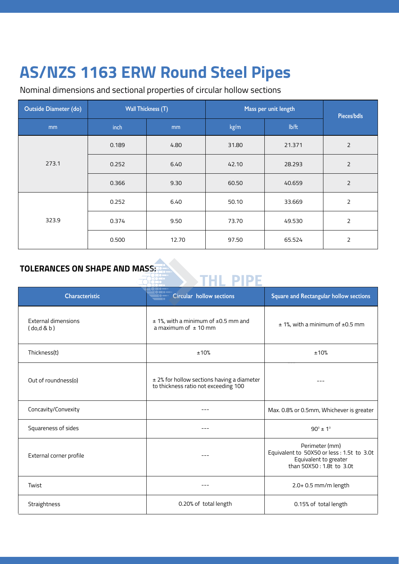Nominal dimensions and sectional properties of circular hollow sections

| <b>Outside Diameter (do)</b> |               | <b>Wall Thickness (T)</b> | Mass per unit length | Pieces/bdls |                |
|------------------------------|---------------|---------------------------|----------------------|-------------|----------------|
| mm                           | inch          | mm                        | kg/m                 | lb/ft       |                |
|                              | 0.189         | 4.80                      | 31.80                | 21.371      | $\overline{2}$ |
| 273.1                        | 0.252         | 6.40                      | 42.10                | 28.293      | $\overline{2}$ |
|                              | 0.366         | 9.30                      | 60.50                | 40.659      | $\overline{2}$ |
|                              | 0.252         | 6.40                      | 50.10                | 33.669      | $\mathsf{2}$   |
| 323.9                        | 9.50<br>0.374 |                           | 73.70                | 49.530      | $\overline{2}$ |
|                              | 0.500         | 12.70                     | 97.50                | 65.524      | $\overline{2}$ |

# TOLERANCES ON SHAPE AND MASS:

| Characteristic                         | Circular hollow sections                                                           | Square and Rectangular hollow sections                                                                             |  |  |  |  |
|----------------------------------------|------------------------------------------------------------------------------------|--------------------------------------------------------------------------------------------------------------------|--|--|--|--|
| <b>External dimensions</b><br>(do,d&b) | $±$ 1%, with a minimum of $±$ 0.5 mm and<br>a maximum of $\pm$ 10 mm               | $± 1$ %, with a minimum of $±0.5$ mm                                                                               |  |  |  |  |
| Thickness(t)                           | ±10%                                                                               | ±10%                                                                                                               |  |  |  |  |
| Out of roundness(o)                    | ± 2% for hollow sections having a diameter<br>to thickness ratio not exceeding 100 |                                                                                                                    |  |  |  |  |
| Concavity/Convexity                    |                                                                                    | Max. 0.8% or 0.5mm, Whichever is greater                                                                           |  |  |  |  |
| Squareness of sides                    |                                                                                    | $90^{\circ}$ ± 1°                                                                                                  |  |  |  |  |
| External corner profile                |                                                                                    | Perimeter (mm)<br>Equivalent to 50X50 or less : 1.5t to 3.0t<br>Equivalent to greater<br>than 50X50 : 1.8t to 3.0t |  |  |  |  |
| Twist                                  |                                                                                    | 2.0+ 0.5 mm/m length                                                                                               |  |  |  |  |
| Straightness                           | 0.20% of total length                                                              | 0.15% of total length                                                                                              |  |  |  |  |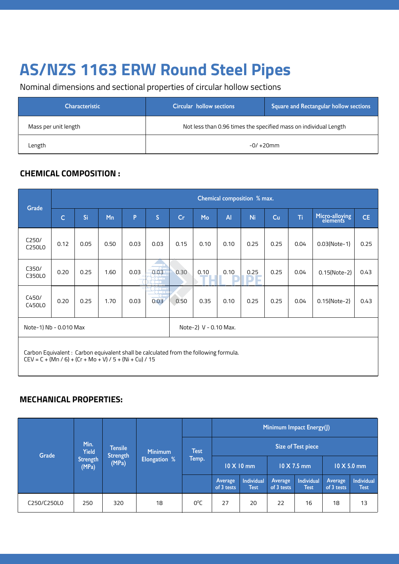Nominal dimensions and sectional properties of circular hollow sections

| <b>Characteristic</b> | <b>Square and Rectangular hollow sections</b><br>Circular hollow sections |  |  |  |  |  |
|-----------------------|---------------------------------------------------------------------------|--|--|--|--|--|
| Mass per unit length  | Not less than 0.96 times the specified mass on individual Length          |  |  |  |  |  |
| Length                | $-0/+20$ mm                                                               |  |  |  |  |  |

#### **CHEMICAL COMPOSITION :**

|                                                                                                                                                   | Chemical composition % max. |      |      |      |                                                         |      |      |                |      |      |      |                            |           |
|---------------------------------------------------------------------------------------------------------------------------------------------------|-----------------------------|------|------|------|---------------------------------------------------------|------|------|----------------|------|------|------|----------------------------|-----------|
| Grade                                                                                                                                             | Ċ                           | Si   | Mn   | P    | $\overline{\mathsf{S}}$                                 | Cr   | Mo   | $\overline{A}$ | Ni   | Cu   | Ti   | Micro-alloying<br>elements | <b>CE</b> |
| C250/<br>C250L0                                                                                                                                   | 0.12                        | 0.05 | 0.50 | 0.03 | 0.03                                                    | 0.15 | 0.10 | 0.10           | 0.25 | 0.25 | 0.04 | $0.03$ (Note-1)            | 0.25      |
| C350/<br>C350L0                                                                                                                                   | 0.20                        | 0.25 | 1.60 | 0.03 | $\overline{\phantom{a}}^{\circ}$<br>0.03<br>$\sqrt{2}$  | 0.30 | 0.10 | 0.10           | 0.25 | 0.25 | 0.04 | 0.15(Note-2)               | 0.43      |
| C450/<br>C450L0                                                                                                                                   | 0.20                        | 0.25 | 1.70 | 0.03 | $\blacksquare \bullet \blacksquare$<br>$\frac{1}{0.03}$ | 0.50 | 0.35 | 0.10           | 0.25 | 0.25 | 0.04 | 0.15(Note-2)               | 0.43      |
| Note-1) Nb - 0.010 Max<br>Note-2) V - 0.10 Max.                                                                                                   |                             |      |      |      |                                                         |      |      |                |      |      |      |                            |           |
| Carbon Equivalent: Carbon equivalent shall be calculated from the following formula.<br>$CEV = C + (Mn / 6) + (Cr + Mo + V) / 5 + (Ni + Cu) / 15$ |                             |      |      |      |                                                         |      |      |                |      |      |      |                            |           |

#### **MECHANICAL PROPERTIES:**

|             |                          |                                            |                                       |                       | Minimum Impact Energy(J)         |                       |                                  |                       |                                  |    |  |  |  |  |
|-------------|--------------------------|--------------------------------------------|---------------------------------------|-----------------------|----------------------------------|-----------------------|----------------------------------|-----------------------|----------------------------------|----|--|--|--|--|
| Grade       | Min.<br><b>Yield</b>     | <b>Tensile</b><br><b>Strength</b><br>(MPa) | <b>Minimum</b><br><b>Elongation %</b> | <b>Test</b><br>Temp.  | <b>Size of Test piece</b>        |                       |                                  |                       |                                  |    |  |  |  |  |
|             | <b>Strength</b><br>(MPa) |                                            |                                       |                       | 10 X 10 mm                       |                       |                                  | 10 X 7.5 mm           | 10 X 5.0 mm                      |    |  |  |  |  |
|             |                          |                                            |                                       | Average<br>of 3 tests | <b>Individual</b><br><b>Test</b> | Average<br>of 3 tests | <b>Individual</b><br><b>Test</b> | Average<br>of 3 tests | <b>Individual</b><br><b>Test</b> |    |  |  |  |  |
| C250/C250L0 | 250                      | 320                                        | 18                                    | 0°C                   | 27                               | 20                    | 22                               | 16                    | 18                               | 13 |  |  |  |  |